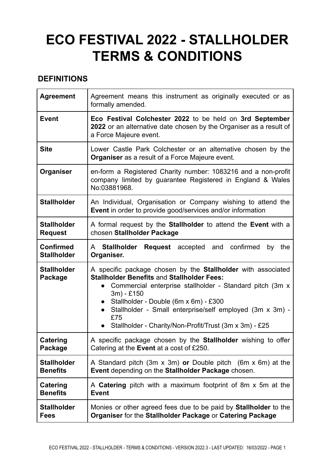# **ECO FESTIVAL 2022 - STALLHOLDER TERMS & CONDITIONS**

# **DEFINITIONS**

| <b>Agreement</b>                       | Agreement means this instrument as originally executed or as<br>formally amended.                                                                                                                                                                                                                                                                                              |
|----------------------------------------|--------------------------------------------------------------------------------------------------------------------------------------------------------------------------------------------------------------------------------------------------------------------------------------------------------------------------------------------------------------------------------|
| <b>Event</b>                           | Eco Festival Colchester 2022 to be held on 3rd September<br>2022 or an alternative date chosen by the Organiser as a result of<br>a Force Majeure event.                                                                                                                                                                                                                       |
| <b>Site</b>                            | Lower Castle Park Colchester or an alternative chosen by the<br><b>Organiser</b> as a result of a Force Majeure event.                                                                                                                                                                                                                                                         |
| Organiser                              | en-form a Registered Charity number: 1083216 and a non-profit<br>company limited by guarantee Registered in England & Wales<br>No:03881968.                                                                                                                                                                                                                                    |
| <b>Stallholder</b>                     | An Individual, Organisation or Company wishing to attend the<br><b>Event</b> in order to provide good/services and/or information                                                                                                                                                                                                                                              |
| <b>Stallholder</b><br><b>Request</b>   | A formal request by the <b>Stallholder</b> to attend the <b>Event</b> with a<br>chosen Stallholder Package                                                                                                                                                                                                                                                                     |
| <b>Confirmed</b><br><b>Stallholder</b> | A Stallholder<br><b>Request</b> accepted and confirmed<br>the<br>by<br>Organiser.                                                                                                                                                                                                                                                                                              |
| <b>Stallholder</b><br>Package          | A specific package chosen by the Stallholder with associated<br><b>Stallholder Benefits and Stallholder Fees:</b><br>Commercial enterprise stallholder - Standard pitch (3m x<br>$\bullet$<br>3m) - £150<br>Stallholder - Double (6m x 6m) - £300<br>Stallholder - Small enterprise/self employed (3m x 3m) -<br>£75<br>Stallholder - Charity/Non-Profit/Trust (3m x 3m) - £25 |
| <b>Catering</b><br>Package             | A specific package chosen by the Stallholder wishing to offer<br>Catering at the <b>Event</b> at a cost of £250.                                                                                                                                                                                                                                                               |
| <b>Stallholder</b><br><b>Benefits</b>  | A Standard pitch $(3m \times 3m)$ or Double pitch $(6m \times 6m)$ at the<br>Event depending on the Stallholder Package chosen.                                                                                                                                                                                                                                                |
| Catering<br><b>Benefits</b>            | A <b>Catering</b> pitch with a maximum footprint of 8m x 5m at the<br><b>Event</b>                                                                                                                                                                                                                                                                                             |
| <b>Stallholder</b><br><b>Fees</b>      | Monies or other agreed fees due to be paid by <b>Stallholder</b> to the<br>Organiser for the Stallholder Package or Catering Package                                                                                                                                                                                                                                           |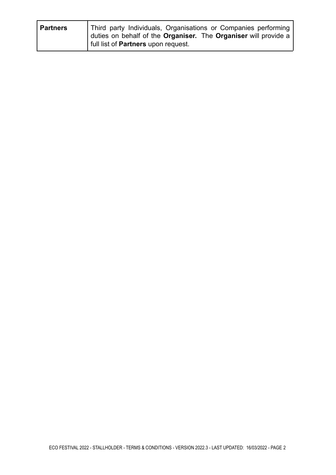| <b>Partners</b> | Third party Individuals, Organisations or Companies performing<br>duties on behalf of the <b>Organiser</b> . The <b>Organiser</b> will provide a |
|-----------------|--------------------------------------------------------------------------------------------------------------------------------------------------|
|                 |                                                                                                                                                  |
|                 | full list of <b>Partners</b> upon request.                                                                                                       |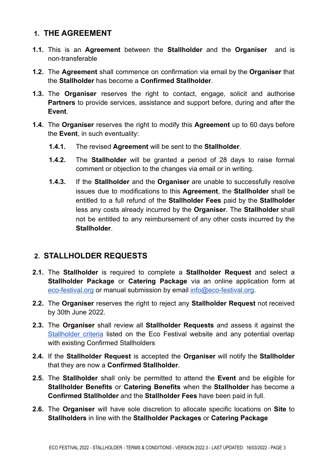#### **1. THE AGREEMENT**

- **1.1.** This is an **Agreement** between the **Stallholder** and the **Organiser** and is non-transferable
- **1.2.** The **Agreement** shall commence on confirmation via email by the **Organiser** that the **Stallholder** has become a **Confirmed Stallholder**.
- **1.3.** The **Organiser** reserves the right to contact, engage, solicit and authorise **Partners** to provide services, assistance and support before, during and after the **Event**.
- **1.4.** The **Organiser** reserves the right to modify this **Agreement** up to 60 days before the **Event**, in such eventuality:
	- **1.4.1.** The revised **Agreement** will be sent to the **Stallholder**.
	- **1.4.2.** The **Stallholder** will be granted a period of 28 days to raise formal comment or objection to the changes via email or in writing.
	- **1.4.3.** If the **Stallholder** and the **Organiser** are unable to successfully resolve issues due to modifications to this **Agreement**, the **Stallholder** shall be entitled to a full refund of the **Stallholder Fees** paid by the **Stallholder** less any costs already incurred by the **Organiser**. The **Stallholder** shall not be entitled to any reimbursement of any other costs incurred by the **Stallholder**.

## **2. STALLHOLDER REQUESTS**

- **2.1.** The **Stallholder** is required to complete a **Stallholder Request** and select a **Stallholder Package** or **Catering Package** via an online application form at [eco-festival.org](https://www.eco-festival.org) or manual submission by email [info@eco-festival.org.](mailto:info@eco-festival.org)
- **2.2.** The **Organiser** reserves the right to reject any **Stallholder Request** not received by 30th June 2022.
- **2.3.** The **Organiser** shall review all **Stallholder Requests** and assess it against the [Stallholder](https://www.eco-festival.org/stallholders-and-catering/) criteria listed on the Eco Festival website and any potential overlap with existing Confirmed Stallholders
- **2.4.** If the **Stallholder Request** is accepted the **Organiser** will notify the **Stallholder** that they are now a **Confirmed Stallholder**.
- **2.5.** The **Stallholder** shall only be permitted to attend the **Event** and be eligible for **Stallholder Benefits** or **Catering Benefits** when the **Stallholder** has become a **Confirmed Stallholder** and the **Stallholder Fees** have been paid in full.
- **2.6.** The **Organiser** will have sole discretion to allocate specific locations on **Site** to **Stallholders** in line with the **Stallholder Packages** or **Catering Package**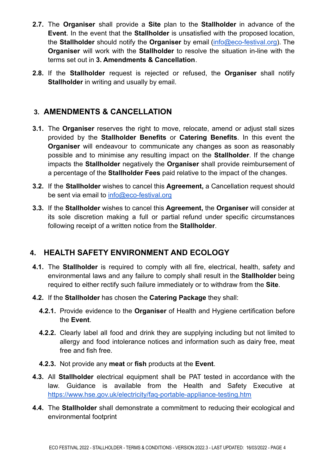- **2.7.** The **Organiser** shall provide a **Site** plan to the **Stallholder** in advance of the **Event**. In the event that the **Stallholder** is unsatisfied with the proposed location, the **Stallholder** should notify the **Organiser** by email [\(info@eco-festival.org](mailto:info@eco-festival.org)). The **Organiser** will work with the **Stallholder** to resolve the situation in-line with the terms set out in **3. Amendments & Cancellation**.
- **2.8.** If the **Stallholder** request is rejected or refused, the **Organiser** shall notify **Stallholder** in writing and usually by email.

#### **3. AMENDMENTS & CANCELLATION**

- **3.1.** The **Organiser** reserves the right to move, relocate, amend or adjust stall sizes provided by the **Stallholder Benefits** or **Catering Benefits**. In this event the **Organiser** will endeavour to communicate any changes as soon as reasonably possible and to minimise any resulting impact on the **Stallholder**. If the change impacts the **Stallholder** negatively the **Organiser** shall provide reimbursement of a percentage of the **Stallholder Fees** paid relative to the impact of the changes.
- **3.2.** If the **Stallholder** wishes to cancel this **Agreement,** a Cancellation request should be sent via email to [info@eco-festival.org](mailto:info@eco-festival.org)
- **3.3.** If the **Stallholder** wishes to cancel this **Agreement,** the **Organiser** will consider at its sole discretion making a full or partial refund under specific circumstances following receipt of a written notice from the **Stallholder**.

## **4. HEALTH SAFETY ENVIRONMENT AND ECOLOGY**

- **4.1.** The **Stallholder** is required to comply with all fire, electrical, health, safety and environmental laws and any failure to comply shall result in the **Stallholder** being required to either rectify such failure immediately or to withdraw from the **Site**.
- **4.2.** If the **Stallholder** has chosen the **Catering Package** they shall:
	- **4.2.1.** Provide evidence to the **Organiser** of Health and Hygiene certification before the **Event**.
	- **4.2.2.** Clearly label all food and drink they are supplying including but not limited to allergy and food intolerance notices and information such as dairy free, meat free and fish free.
	- **4.2.3.** Not provide any **meat** or **fish** products at the **Event**.
- **4.3.** All **Stallholder** electrical equipment shall be PAT tested in accordance with the law. Guidance is available from the Health and Safety Executive at <https://www.hse.gov.uk/electricity/faq-portable-appliance-testing.htm>
- **4.4.** The **Stallholder** shall demonstrate a commitment to reducing their ecological and environmental footprint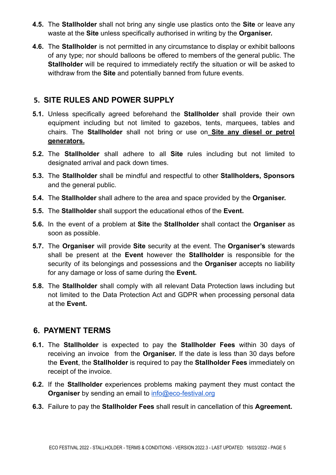- **4.5.** The **Stallholder** shall not bring any single use plastics onto the **Site** or leave any waste at the **Site** unless specifically authorised in writing by the **Organiser.**
- **4.6.** The **Stallholder** is not permitted in any circumstance to display or exhibit balloons of any type; nor should balloons be offered to members of the general public. The **Stallholder** will be required to immediately rectify the situation or will be asked to withdraw from the **Site** and potentially banned from future events.

#### **5. SITE RULES AND POWER SUPPLY**

- **5.1.** Unless specifically agreed beforehand the **Stallholder** shall provide their own equipment including but not limited to gazebos, tents, marquees, tables and chairs. The **Stallholder** shall not bring or use on **Site any diesel or petrol generators.**
- **5.2.** The **Stallholder** shall adhere to all **Site** rules including but not limited to designated arrival and pack down times.
- **5.3.** The **Stallholder** shall be mindful and respectful to other **Stallholders, Sponsors** and the general public.
- **5.4.** The **Stallholder** shall adhere to the area and space provided by the **Organiser.**
- **5.5.** The **Stallholder** shall support the educational ethos of the **Event.**
- **5.6.** In the event of a problem at **Site** the **Stallholder** shall contact the **Organiser** as soon as possible.
- **5.7.** The **Organiser** will provide **Site** security at the event. The **Organiser's** stewards shall be present at the **Event** however the **Stallholder** is responsible for the security of its belongings and possessions and the **Organiser** accepts no liability for any damage or loss of same during the **Event.**
- **5.8.** The **Stallholder** shall comply with all relevant Data Protection laws including but not limited to the Data Protection Act and GDPR when processing personal data at the **Event.**

#### **6. PAYMENT TERMS**

- **6.1.** The **Stallholder** is expected to pay the **Stallholder Fees** within 30 days of receiving an invoice from the **Organiser.** If the date is less than 30 days before the **Event**, the **Stallholder** is required to pay the **Stallholder Fees** immediately on receipt of the invoice.
- **6.2.** If the **Stallholder** experiences problems making payment they must contact the **Organiser** by sending an email to **[info@eco-festival.org](mailto:info@eco-festival.org)**
- **6.3.** Failure to pay the **Stallholder Fees** shall result in cancellation of this **Agreement.**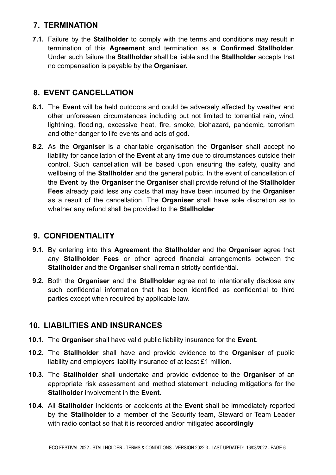## **7. TERMINATION**

**7.1.** Failure by the **Stallholder** to comply with the terms and conditions may result in termination of this **Agreement** and termination as a **Confirmed Stallholder**. Under such failure the **Stallholder** shall be liable and the **Stallholder** accepts that no compensation is payable by the **Organiser.**

# **8. EVENT CANCELLATION**

- **8.1.** The **Event** will be held outdoors and could be adversely affected by weather and other unforeseen circumstances including but not limited to torrential rain, wind, lightning, flooding, excessive heat, fire, smoke, biohazard, pandemic, terrorism and other danger to life events and acts of god.
- **8.2.** As the **Organiser** is a charitable organisation the **Organiser** shal**l** accept no liability for cancellation of the **Event** at any time due to circumstances outside their control. Such cancellation will be based upon ensuring the safety, quality and wellbeing of the **Stallholder** and the general public. In the event of cancellation of the **Event** by the **Organiser** the **Organise**r shall provide refund of the **Stallholder Fees** already paid less any costs that may have been incurred by the **Organise**r as a result of the cancellation. The **Organiser** shall have sole discretion as to whether any refund shall be provided to the **Stallholder**

## **9. CONFIDENTIALITY**

- **9.1.** By entering into this **Agreement** the **Stallholder** and the **Organiser** agree that any **Stallholder Fees** or other agreed financial arrangements between the **Stallholder** and the **Organiser** shall remain strictly confidential.
- **9.2.** Both the **Organiser** and the **Stallholder** agree not to intentionally disclose any such confidential information that has been identified as confidential to third parties except when required by applicable law.

# **10. LIABILITIES AND INSURANCES**

- **10.1.** The **Organiser** shall have valid public liability insurance for the **Event**.
- **10.2.** The **Stallholder** shall have and provide evidence to the **Organiser** of public liability and employers liability insurance of at least £1 million.
- **10.3.** The **Stallholder** shall undertake and provide evidence to the **Organiser** of an appropriate risk assessment and method statement including mitigations for the **Stallholder** involvement in the **Event.**
- **10.4.** All **Stallholder** incidents or accidents at the **Event** shall be immediately reported by the **Stallholder** to a member of the Security team, Steward or Team Leader with radio contact so that it is recorded and/or mitigated **accordingly**